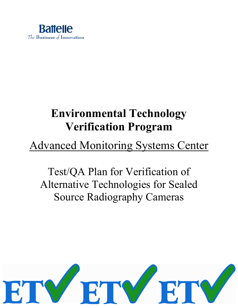

# **Environmental Technology Verification Program**

# Advanced Monitoring Systems Center

Test/QA Plan for Verification of Alternative Technologies for Sealed Source Radiography Cameras

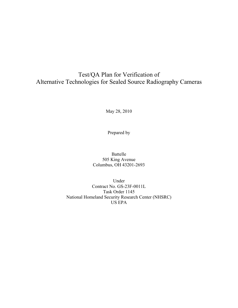# Test/QA Plan for Verification of Alternative Technologies for Sealed Source Radiography Cameras

May 28, 2010

Prepared by

Battelle 505 King Avenue Columbus, OH 43201-2693

Under Contract No. GS-23F-0011L Task Order 1145 National Homeland Security Research Center (NHSRC) US EPA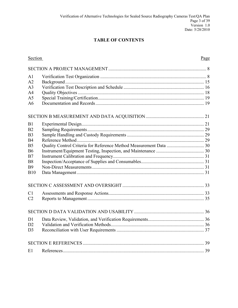# **TABLE OF CONTENTS**

| Section        | Page |
|----------------|------|
|                |      |
| A <sub>1</sub> |      |
| A2             |      |
| A <sub>3</sub> |      |
| A <sub>4</sub> |      |
| A <sub>5</sub> |      |
| A <sub>6</sub> |      |
|                |      |
| B1             |      |
| B <sub>2</sub> |      |
| B <sub>3</sub> |      |
| <b>B4</b>      |      |
| B <sub>5</sub> |      |
| <b>B6</b>      |      |
| B7             |      |
| <b>B8</b>      |      |
| <b>B9</b>      |      |
| <b>B10</b>     |      |
|                |      |
| C <sub>1</sub> |      |
| C <sub>2</sub> |      |
|                |      |
| D1             |      |
| D <sub>2</sub> |      |
| D <sub>3</sub> |      |
|                |      |
| E1             |      |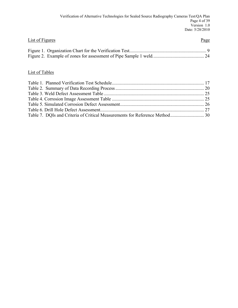| List of Figures | Page |
|-----------------|------|
|                 |      |
|                 |      |

# List of Tables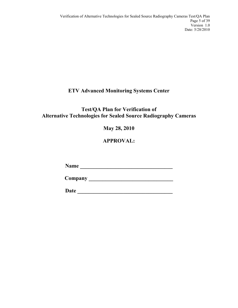# **ETV Advanced Monitoring Systems Center**

# **Test/QA Plan for Verification of Alternative Technologies for Sealed Source Radiography Cameras**

**May 28, 2010**

# **APPROVAL:**

**Name \_\_\_\_\_\_\_\_\_\_\_\_\_\_\_\_\_\_\_\_\_\_\_\_\_\_\_\_\_\_\_\_\_\_**

**Company \_\_\_\_\_\_\_\_\_\_\_\_\_\_\_\_\_\_\_\_\_\_\_\_\_\_\_\_\_\_\_**

**Date \_\_\_\_\_\_\_\_\_\_\_\_\_\_\_\_\_\_\_\_\_\_\_\_\_\_\_\_\_\_\_\_\_\_\_**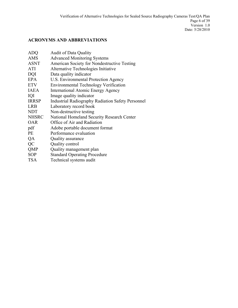# **ACRONYMS AND ABBREVIATIONS**

| <b>Audit of Data Quality</b>                             |
|----------------------------------------------------------|
| <b>Advanced Monitoring Systems</b>                       |
| American Society for Nondestructive Testing              |
| Alternative Technologies Initiative                      |
| Data quality indicator                                   |
| U.S. Environmental Protection Agency                     |
| <b>Environmental Technology Verification</b>             |
| International Atomic Energy Agency                       |
| Image quality indicator                                  |
| <b>Industrial Radiography Radiation Safety Personnel</b> |
| Laboratory record book                                   |
| Non-destructive testing                                  |
| National Homeland Security Research Center               |
| Office of Air and Radiation                              |
| Adobe portable document format                           |
| Performance evaluation                                   |
| Quality assurance                                        |
| Quality control                                          |
| Quality management plan                                  |
| <b>Standard Operating Procedure</b>                      |
| Technical systems audit                                  |
|                                                          |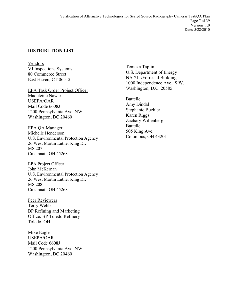## **DISTRIBUTION LIST**

Vendors VJ Inspections Systems 80 Commerce Street East Haven, CT 06512

EPA Task Order Project Officer Madeleine Nawar USEPA/OAR Mail Code 6608J 1200 Pennsylvania Ave, NW Washington, DC 20460

EPA QA Manager Michelle Henderson U.S. Environmental Protection Agency 26 West Martin Luther King Dr. MS 207 Cincinnati, OH 45268

John McKernan EPA Project Officer U.S. Environmental Protection Agency 26 West Martin Luther King Dr. MS 208 Cincinnati, OH 45268

Peer Reviewers Terry Webb BP Refining and Marketing Office: BP Toledo Refinery Toledo, OH

Mike Eagle USEPA/OAR Mail Code 6608J 1200 Pennsylvania Ave, NW Washington, DC 20460

Temeka Taplin U.S. Department of Energy NA-211/Forrestal Building 1000 Independence Ave., S.W. Washington, D.C. 20585

Battelle Amy Dindal Stephanie Buehler Karen Riggs Zachary Willenberg Battelle 505 King Ave. Columbus, OH 43201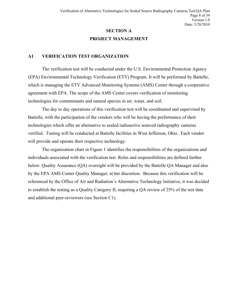# **SECTION A PROJECT MANAGEMENT**

#### <span id="page-7-1"></span><span id="page-7-0"></span>**A1 VERIFICATION TEST ORGANIZATION**

The verification test will be conducted under the U.S. Environmental Protection Agency (EPA) Environmental Technology Verification (ETV) Program. It will be performed by Battelle, which is managing the ETV Advanced Monitoring Systems (AMS) Center through a cooperative agreement with EPA. The scope of the AMS Center covers verification of monitoring technologies for contaminants and natural species in air, water, and soil.

The day to day operations of this verification test will be coordinated and supervised by Battelle, with the participation of the vendors who will be having the performance of their technologies which offer an alternative to sealed radioactive sourced radiography cameras verified. Testing will be conducted at Battelle facilities in West Jefferson, Ohio. Each vendor will provide and operate their respective technology.

The organization chart in Figure 1 identifies the responsibilities of the organizations and individuals associated with the verification test. Roles and responsibilities are defined further below. Quality Assurance (QA) oversight will be provided by the Battelle QA Manager and also by the EPA AMS Center Quality Manager, at her discretion. Because this verification will be referenced by the Office of Air and Radiation's Alternative Technology Initiative, it was decided to establish the testing as a Quality Category II, requiring a QA review of 25% of the test data and additional peer-reviewers (see Section C1).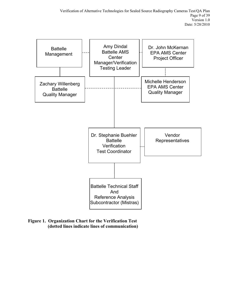

<span id="page-8-0"></span>**Figure 1. Organization Chart for the Verification Test (dotted lines indicate lines of communication)**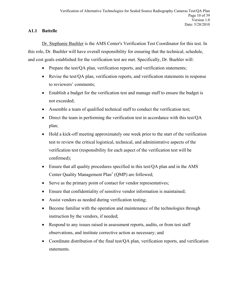# **A1.1 Battelle**

Dr. Stephanie Buehler is the AMS Center's Verification Test Coordinator for this test. In this role, Dr. Buehler will have overall responsibility for ensuring that the technical, schedule, and cost goals established for the verification test are met. Specifically, Dr. Buehler will:

- Prepare the test/QA plan, verification reports, and verification statements;
- Revise the test/QA plan, verification reports, and verification statements in response to reviewers' comments;
- Establish a budget for the verification test and manage staff to ensure the budget is not exceeded;
- Assemble a team of qualified technical staff to conduct the verification test;
- Direct the team in performing the verification test in accordance with this test/QA plan;
- Hold a kick-off meeting approximately one week prior to the start of the verification test to review the critical logistical, technical, and administrative aspects of the verification test (responsibility for each aspect of the verification test will be confirmed);
- Ensure that all quality procedures specified in this test/OA plan and in the AMS Center Quality Management Plan<sup>1</sup> (QMP) are followed;
- Serve as the primary point of contact for vendor representatives;
- Ensure that confidentiality of sensitive vendor information is maintained;
- Assist vendors as needed during verification testing;
- Become familiar with the operation and maintenance of the technologies through instruction by the vendors, if needed;
- Respond to any issues raised in assessment reports, audits, or from test staff observations, and institute corrective action as necessary; and
- Coordinate distribution of the final test/QA plan, verification reports, and verification statements.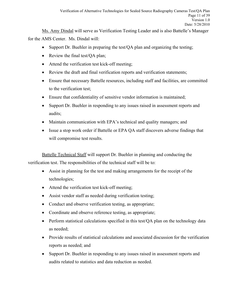Ms. Amy Dindal will serve as Verification Testing Leader and is also Battelle's Manager for the AMS Center. Ms. Dindal will:

- Support Dr. Buehler in preparing the test/OA plan and organizing the testing;
- Review the final test/QA plan;
- Attend the verification test kick-off meeting;
- Review the draft and final verification reports and verification statements;
- Ensure that necessary Battelle resources, including staff and facilities, are committed to the verification test;
- Ensure that confidentiality of sensitive vendor information is maintained;
- Support Dr. Buehler in responding to any issues raised in assessment reports and audits;
- Maintain communication with EPA's technical and quality managers; and
- Issue a stop work order if Battelle or EPA QA staff discovers adverse findings that will compromise test results.

Battelle Technical Staff will support Dr. Buehler in planning and conducting the verification test. The responsibilities of the technical staff will be to:

- Assist in planning for the test and making arrangements for the receipt of the technologies;
- Attend the verification test kick-off meeting;
- Assist vendor staff as needed during verification testing;
- Conduct and observe verification testing, as appropriate;
- Coordinate and observe reference testing, as appropriate;
- Perform statistical calculations specified in this test/QA plan on the technology data as needed;
- Provide results of statistical calculations and associated discussion for the verification reports as needed; and
- Support Dr. Buehler in responding to any issues raised in assessment reports and audits related to statistics and data reduction as needed.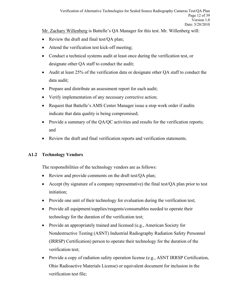Mr. Zachary Willenberg is Battelle's QA Manager for this test. Mr. Willenberg will:

- Review the draft and final test/QA plan;
- Attend the verification test kick-off meeting;
- Conduct a technical systems audit at least once during the verification test, or designate other QA staff to conduct the audit;
- Audit at least 25% of the verification data or designate other QA staff to conduct the data audit;
- Prepare and distribute an assessment report for each audit;
- Verify implementation of any necessary corrective action;
- Request that Battelle's AMS Center Manager issue a stop work order if audits indicate that data quality is being compromised;
- Provide a summary of the QA/QC activities and results for the verification reports; and
- Review the draft and final verification reports and verification statements.

# **A1.2 Technology Vendors**

The responsibilities of the technology vendors are as follows:

- Review and provide comments on the draft test/OA plan;
- Accept (by signature of a company representative) the final test/QA plan prior to test initiation;
- Provide one unit of their technology for evaluation during the verification test;
- Provide all equipment/supplies/reagents/consumables needed to operate their technology for the duration of the verification test;
- Provide an appropriately trained and licensed (e.g., American Society for Nondestructive Testing (ASNT) Industrial Radiography Radiation Safety Personnel (IRRSP) Certification) person to operate their technology for the duration of the verification test;
- Provide a copy of radiation safety operation license (e.g., ASNT IRRSP Certification, Ohio Radioactive Materials License) or equivalent document for inclusion in the verification test file;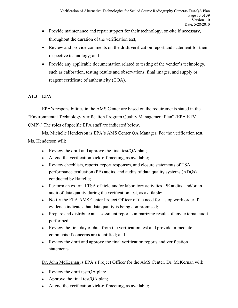- Provide maintenance and repair support for their technology, on-site if necessary, throughout the duration of the verification test;
- Review and provide comments on the draft verification report and statement for their respective technology; and
- Provide any applicable documentation related to testing of the vendor's technology, such as calibration, testing results and observations, final images, and supply or reagent certificate of authenticity (COA).

# **A1.3 EPA**

EPA's responsibilities in the AMS Center are based on the requirements stated in the "Environmental Technology Verification Program Quality Management Plan" (EPA ETV QMP).<sup>2</sup> The roles of specific EPA staff are indicated below.

Ms. Michelle Henderson is EPA's AMS Center QA Manager. For the verification test, Ms. Henderson will:

- Review the draft and approve the final test/QA plan;
- Attend the verification kick-off meeting, as available;
- Review checklists, reports, report responses, and closure statements of TSA, performance evaluation (PE) audits, and audits of data quality systems (ADQs) conducted by Battelle;
- Perform an external TSA of field and/or laboratory activities, PE audits, and/or an audit of data quality during the verification test, as available;
- Notify the EPA AMS Center Project Officer of the need for a stop work order if evidence indicates that data quality is being compromised;
- Prepare and distribute an assessment report summarizing results of any external audit performed;
- Review the first day of data from the verification test and provide immediate comments if concerns are identified; and
- Review the draft and approve the final verification reports and verification statements.

Dr. John McKernan is EPA's Project Officer for the AMS Center. Dr. McKernan will:

- Review the draft test/OA plan;
- Approve the final test/QA plan;
- Attend the verification kick-off meeting, as available;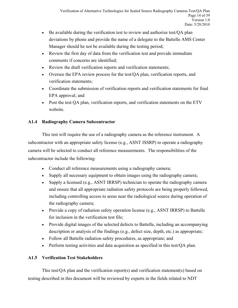- Be available during the verification test to review and authorize test/OA plan deviations by phone and provide the name of a delegate to the Battelle AMS Center Manager should he not be available during the testing period;
- Review the first day of data from the verification test and provide immediate comments if concerns are identified;
- Review the draft verification reports and verification statements;
- Oversee the EPA review process for the test/QA plan, verification reports, and verification statements;
- Coordinate the submission of verification reports and verification statements for final EPA approval; and
- Post the test QA plan, verification reports, and verification statements on the ETV website.

# **A1.4 Radiography Camera Subcontractor**

This test will require the use of a radiography camera as the reference instrument. A subcontractor with an appropriate safety license (e.g., ASNT ISSRP) to operate a radiography camera will be selected to conduct all reference measurements. The responsibilities of the subcontractor include the following:

- Conduct all reference measurements using a radiography camera;
- Supply all necessary equipment to obtain images using the radiography camera;
- Supply a licensed (e.g., ASNT IRRSP) technician to operate the radiography camera and ensure that all appropriate radiation safety protocols are being properly followed, including controlling access to areas near the radiological source during operation of the radiography camera;
- Provide a copy of radiation safety operation license (e.g., ASNT IRRSP) to Battelle for inclusion in the verification test file;
- Provide digital images of the selected defects to Battelle, including an accompanying description or analysis of the findings (e.g., defect size, depth, etc.) as appropriate;
- Follow all Battelle radiation safety procedures, as appropriate; and
- Perform testing activities and data acquisition as specified in this test/QA plan.

# **A1.5 Verification Test Stakeholders**

This test/QA plan and the verification report(s) and verification statement(s) based on testing described in this document will be reviewed by experts in the fields related to NDT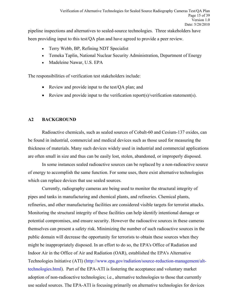pipeline inspections and alternatives to sealed-source technologies. Three stakeholders have been providing input to this test/QA plan and have agreed to provide a peer review.

- Terry Webb, BP, Refining NDT Specialist
- Temeka Taplin, National Nuclear Security Administration, Department of Energy
- Madeleine Nawar, U.S. EPA

The responsibilities of verification test stakeholders include:

- Review and provide input to the test/QA plan; and
- Review and provide input to the verification report(s)/verification statement(s).

# <span id="page-14-0"></span>**A2 BACKGROUND**

Radioactive chemicals, such as sealed sources of Cobalt-60 and Cesium-137 oxides, can be found in industrial, commercial and medical devices such as those used for measuring the thickness of materials. Many such devices widely used in industrial and commercial applications are often small in size and thus can be easily lost, stolen, abandoned, or improperly disposed.

In some instances sealed radioactive sources can be replaced by a non-radioactive source of energy to accomplish the same function. For some uses, there exist alternative technologies which can replace devices that use sealed sources.

Currently, radiography cameras are being used to monitor the structural integrity of pipes and tanks in manufacturing and chemical plants, and refineries. Chemical plants, refineries, and other manufacturing facilities are considered visible targets for terrorist attacks. Monitoring the structural integrity of these facilities can help identify intentional damage or potential compromises, and ensure security. However the radioactive sources in these cameras themselves can present a safety risk. Minimizing the number of such radioactive sources in the public domain will decrease the opportunity for terrorists to obtain these sources when they might be inappropriately disposed. In an effort to do so, the EPA's Office of Radiation and Indoor Air in the Office of Air and Radiation (OAR), established the EPA's Alternative Technologies Initiative (ATI) [\(http://www.epa.gov/radiation/source-reduction-management/alt](http://www.epa.gov/radiation/source-reduction-management/alt-technologies.html)[technologies.html\)](http://www.epa.gov/radiation/source-reduction-management/alt-technologies.html). Part of the EPA-ATI is fostering the acceptance and voluntary market adoption of non-radioactive technologies; i.e., alternative technologies to those that currently use sealed sources. The EPA-ATI is focusing primarily on alternative technologies for devices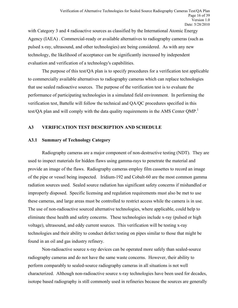with Category 3 and 4 radioactive sources as classified by the International Atomic Energy Agency (IAEA) . Commercial-ready or available alternatives to radiography cameras (such as pulsed x-ray, ultrasound, and other technologies) are being considered. As with any new technology, the likelihood of acceptance can be significantly increased by independent evaluation and verification of a technology's capabilities.

The purpose of this test/QA plan is to specify procedures for a verification test applicable to commercially available alternatives to radiography cameras which can replace technologies that use sealed radioactive sources. The purpose of the verification test is to evaluate the performance of participating technologies in a simulated field environment. In performing the verification test, Battelle will follow the technical and QA/QC procedures specified in this test/QA plan and will comply with the data quality requirements in the AMS Center QMP.<sup>1</sup>

# <span id="page-15-0"></span>**A3 VERIFICATION TEST DESCRIPTION AND SCHEDULE**

#### **A3.1 Summary of Technology Category**

Radiography cameras are a major component of non-destructive testing (NDT). They are used to inspect materials for hidden flaws using gamma-rays to penetrate the material and provide an image of the flaws. Radiography cameras employ film cassettes to record an image of the pipe or vessel being inspected. Iridium-192 and Cobalt-60 are the most common gamma radiation sources used. Sealed source radiation has significant safety concerns if mishandled or improperly disposed. Specific licensing and regulation requirements must also be met to use these cameras, and large areas must be controlled to restrict access while the camera is in use. The use of non-radioactive sourced alternative technologies, where applicable, could help to eliminate these health and safety concerns. These technologies include x-ray (pulsed or high voltage), ultrasound, and eddy current sources. This verification will be testing x-ray technologies and their ability to conduct defect testing on pipes similar to those that might be found in an oil and gas industry refinery.

Non-radioactive source x-ray devices can be operated more safely than sealed-source radiography cameras and do not have the same waste concerns. However, their ability to perform comparably to sealed-source radiography cameras in all situations is not well characterized. Although non-radioactive source x-ray technologies have been used for decades, isotope based radiography is still commonly used in refineries because the sources are generally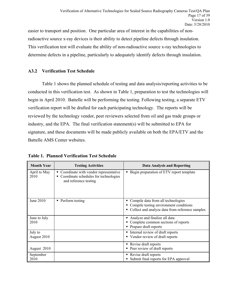easier to transport and position. One particular area of interest in the capabilities of nonradioactive source x-ray devices is their ability to detect pipeline defects through insulation. This verification test will evaluate the ability of non-radioactive source x-ray technologies to determine defects in a pipeline, particularly to adequately identify defects through insulation.

# **A3.2 Verification Test Schedule**

Table 1 shows the planned schedule of testing and data analysis/reporting activities to be conducted in this verification test. As shown in Table 1, preparation to test the technologies will begin in April 2010. Battelle will be performing the testing. Following testing, a separate ETV verification report will be drafted for each participating technology. The reports will be reviewed by the technology vendor, peer reviewers selected from oil and gas trade groups or industry, and the EPA. The final verification statement(s) will be submitted to EPA for signature, and these documents will be made publicly available on both the EPA/ETV and the Battelle AMS Center websites.

| <b>Month Year</b>      | <b>Testing Activities</b>                                                                                 | <b>Data Analysis and Reporting</b>                                                                                                |
|------------------------|-----------------------------------------------------------------------------------------------------------|-----------------------------------------------------------------------------------------------------------------------------------|
| April to May<br>2010   | • Coordinate with vendor representative<br>Coordinate schedules for technologies<br>and reference testing | • Begin preparation of ETV report template                                                                                        |
| June 2010              | • Perform testing                                                                                         | • Compile data from all technologies<br>Compile testing environment conditions<br>Collect and analyze data from reference samples |
| June to July<br>2010   |                                                                                                           | Analyze and finalize all data<br>Complete common sections of reports<br>Prepare draft reports                                     |
| July to<br>August 2010 |                                                                                                           | • Internal review of draft reports<br>• Vendor review of draft reports                                                            |
| August 2010            |                                                                                                           | • Revise draft reports<br>• Peer review of draft reports                                                                          |
| September<br>2010      |                                                                                                           | • Revise draft reports<br>Submit final reports for EPA approval                                                                   |

<span id="page-16-0"></span>**Table 1. Planned Verification Test Schedule**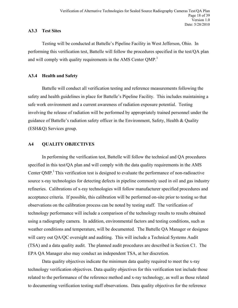### **A3.3 Test Sites**

Testing will be conducted at Battelle's Pipeline Facility in West Jefferson, Ohio. In performing this verification test, Battelle will follow the procedures specified in the test/QA plan and will comply with quality requirements in the AMS Center QMP.<sup>1</sup>

## **A3.4 Health and Safety**

Battelle will conduct all verification testing and reference measurements following the safety and health guidelines in place for Battelle's Pipeline Facility. This includes maintaining a safe work environment and a current awareness of radiation exposure potential. Testing involving the release of radiation will be performed by appropriately trained personnel under the guidance of Battelle's radiation safety officer in the Environment, Safety, Health & Quality (ESH&Q) Services group.

# <span id="page-17-0"></span>**A4 QUALITY OBJECTIVES**

In performing the verification test, Battelle will follow the technical and QA procedures specified in this test/QA plan and will comply with the data quality requirements in the AMS Center QMP.<sup>1</sup> This verification test is designed to evaluate the performance of non-radioactive source x-ray technologies for detecting defects in pipeline commonly used in oil and gas industry refineries. Calibrations of x-ray technologies will follow manufacturer specified procedures and acceptance criteria. If possible, this calibration will be performed on-site prior to testing so that observations on the calibration process can be noted by testing staff. The verification of technology performance will include a comparison of the technology results to results obtained using a radiography camera. In addition, environmental factors and testing conditions, such as weather conditions and temperature, will be documented. The Battelle QA Manager or designee will carry out QA/QC oversight and auditing. This will include a Technical Systems Audit (TSA) and a data quality audit. The planned audit procedures are described in Section C1. The EPA QA Manager also may conduct an independent TSA, at her discretion.

Data quality objectives indicate the minimum data quality required to meet the x-ray technology verification objectives. Data quality objectives for this verification test include those related to the performance of the reference method and x-ray technology, as well as those related to documenting verification testing staff observations. Data quality objectives for the reference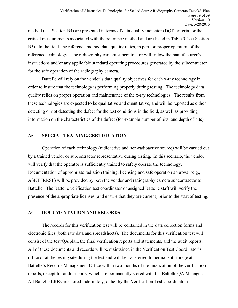method (see Section B4) are presented in terms of data quality indicator (DQI) criteria for the critical measurements associated with the reference method and are listed in Table 5 (see Section B5). In the field, the reference method data quality relies, in part, on proper operation of the reference technology. The radiography camera subcontractor will follow the manufacturer's instructions and/or any applicable standard operating procedures generated by the subcontractor for the safe operation of the radiography camera.

Battelle will rely on the vendor's data quality objectives for each x-ray technology in order to insure that the technology is performing properly during testing. The technology data quality relies on proper operation and maintenance of the x-ray technologies. The results from these technologies are expected to be qualitative and quantitative, and will be reported as either detecting or not detecting the defect for the test conditions in the field, as well as providing information on the characteristics of the defect (for example number of pits, and depth of pits).

#### <span id="page-18-0"></span>**A5 SPECIAL TRAINING/CERTIFICATION**

Operation of each technology (radioactive and non-radioactive source) will be carried out by a trained vendor or subcontractor representative during testing. In this scenario, the vendor will verify that the operator is sufficiently trained to safely operate the technology. Documentation of appropriate radiation training, licensing and safe operation approval (e.g., ASNT IRRSP) will be provided by both the vendor and radiography camera subcontractor to Battelle. The Battelle verification test coordinator or assigned Battelle staff will verify the presence of the appropriate licenses (and ensure that they are current) prior to the start of testing.

#### <span id="page-18-1"></span>**A6 DOCUMENTATION AND RECORDS**

The records for this verification test will be contained in the data collection forms and electronic files (both raw data and spreadsheets). The documents for this verification test will consist of the test/QA plan, the final verification reports and statements, and the audit reports. All of these documents and records will be maintained in the Verification Test Coordinator's office or at the testing site during the test and will be transferred to permanent storage at Battelle's Records Management Office within two months of the finalization of the verification reports, except for audit reports, which are permanently stored with the Battelle QA Manager. All Battelle LRBs are stored indefinitely, either by the Verification Test Coordinator or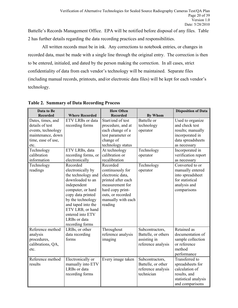Battelle's Records Management Office. EPA will be notified before disposal of any files. Table 2 has further details regarding the data recording practices and responsibilities.

All written records must be in ink. Any corrections to notebook entries, or changes in recorded data, must be made with a single line through the original entry. The correction is then to be entered, initialed, and dated by the person making the correction. In all cases, strict confidentiality of data from each vendor's technology will be maintained. Separate files (including manual records, printouts, and/or electronic data files) will be kept for each vendor's technology.

| Data to Be         |                       | <b>How Often</b>   |                     | <b>Disposition of Data</b> |
|--------------------|-----------------------|--------------------|---------------------|----------------------------|
| <b>Recorded</b>    | <b>Where Recorded</b> | <b>Recorded</b>    | <b>By Whom</b>      |                            |
| Dates, times, and  | ETV LRBs or data      | Start/end of test  | Battelle or         | Used to organize           |
| details of test    | recording forms       | procedure, and at  | technology          | and check test             |
| events, technology |                       | each change of a   | operator            | results; manually          |
| maintenance, down  |                       | test parameter or  |                     | incorporated in            |
| time, ease of use, |                       | change of          |                     | data spreadsheets          |
| etc.               |                       | technology status  |                     | as necessary               |
| Technology         | ETV LRBs, data        | At technology      | Technology          | Incorporated in            |
| calibration        | recording forms, or   | calibration or     | operator            | verification report        |
| information        | electronically        | recalibration      |                     | as necessary               |
| Technology         | Recorded              | Recorded           | Technology          | Converted to or            |
| readings           | electronically by     | continuously for   | operator            | manually entered           |
|                    | the technology and    | electronic data,   |                     | into spreadsheet           |
|                    | downloaded to an      | printed after each |                     | for statistical            |
|                    | independent           | measurement for    |                     | analysis and               |
|                    | computer, or hard     | hard copy print-   |                     | comparisons                |
|                    | copy data printed     | outs, or recorded  |                     |                            |
|                    | by the technology     | manually with each |                     |                            |
|                    | and taped into the    | reading            |                     |                            |
|                    | ETV LRB, or hand      |                    |                     |                            |
|                    | entered into ETV      |                    |                     |                            |
|                    | LRBs or data          |                    |                     |                            |
|                    | recording forms       |                    |                     |                            |
| Reference method   | LRBs, or other        | Throughout         | Subcontractors,     | Retained as                |
| analysis           | data recording        | reference analysis | Battelle, or others | documentation of           |
| procedures,        | forms                 | imaging            | assisting in        | sample collection          |
| calibrations, QA,  |                       |                    | reference analysis  | or reference               |
| etc.               |                       |                    |                     | method                     |
|                    |                       |                    |                     | performance                |
| Reference method   | Electronically or     | Every image taken  | Subcontractors,     | Transferred to             |
| results            | manually into ETV     |                    | Battelle, or other  | spreadsheets for           |
|                    | LRBs or data          |                    | reference analysis  | calculation of             |
|                    | recording forms       |                    | technician          | results, and               |
|                    |                       |                    |                     | statistical analysis       |
|                    |                       |                    |                     | and comparisons            |

<span id="page-19-0"></span>**Table 2. Summary of Data Recording Process**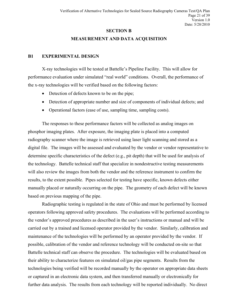#### **SECTION B**

### **MEASUREMENT AND DATA ACQUISITION**

#### <span id="page-20-1"></span><span id="page-20-0"></span>**B1 EXPERIMENTAL DESIGN**

X-ray technologies will be tested at Battelle's Pipeline Facility. This will allow for performance evaluation under simulated "real world" conditions. Overall, the performance of the x-ray technologies will be verified based on the following factors:

- Detection of defects known to be on the pipe;
- Detection of appropriate number and size of components of individual defects; and
- Operational factors (ease of use, sampling time, sampling costs).

The responses to these performance factors will be collected as analog images on phosphor imaging plates. After exposure, the imaging plate is placed into a computed radiography scanner where the image is retrieved using laser light scanning and stored as a digital file. The images will be assessed and evaluated by the vendor or vendor representative to determine specific characteristics of the defect (e.g., pit depth) that will be used for analysis of the technology. Battelle technical staff that specialize in nondestructive testing measurements will also review the images from both the vendor and the reference instrument to confirm the results, to the extent possible. Pipes selected for testing have specific, known defects either manually placed or naturally occurring on the pipe. The geometry of each defect will be known based on previous mapping of the pipe.

Radiographic testing is regulated in the state of Ohio and must be performed by licensed operators following approved safety procedures. The evaluations will be performed according to the vendor's approved procedures as described in the user's instructions or manual and will be carried out by a trained and licensed operator provided by the vendor. Similarly, calibration and maintenance of the technologies will be performed by an operator provided by the vendor. If possible, calibration of the vendor and reference technology will be conducted on-site so that Battelle technical staff can observe the procedure. The technologies will be evaluated based on their ability to characterize features on simulated oil/gas pipe segments. Results from the technologies being verified will be recorded manually by the operator on appropriate data sheets or captured in an electronic data system, and then transferred manually or electronically for further data analysis. The results from each technology will be reported individually. No direct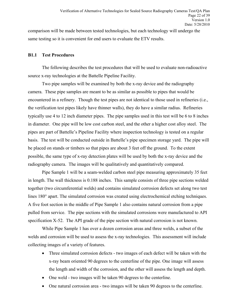comparison will be made between tested technologies, but each technology will undergo the same testing so it is convenient for end users to evaluate the ETV results.

#### **B1.1 Test Procedures**

The following describes the test procedures that will be used to evaluate non-radioactive source x-ray technologies at the Battelle Pipeline Facility.

Two pipe samples will be examined by both the x-ray device and the radiography camera. These pipe samples are meant to be as similar as possible to pipes that would be encountered in a refinery. Though the test pipes are not identical to those used in refineries (i.e., the verification test pipes likely have thinner walls), they do have a similar radius. Refineries typically use 4 to 12 inch diameter pipes. The pipe samples used in this test will be 6 to 8 inches in diameter. One pipe will be low cost carbon steel, and the other a higher cost alloy steel. The pipes are part of Battelle's Pipeline Facility where inspection technology is tested on a regular basis. The test will be conducted outside in Battelle's pipe specimen storage yard. The pipe will be placed on stands or timbers so that pipes are about 3 feet off the ground. To the extent possible, the same type of x-ray detection plates will be used by both the x-ray device and the radiography camera. The images will be qualitatively and quantitatively compared.

Pipe Sample 1 will be a seam-welded carbon steel pipe measuring approximately 35 feet in length. The wall thickness is 0.188 inches. This sample consists of three pipe sections welded together (two circumferential welds) and contains simulated corrosion defects set along two test lines 180° apart. The simulated corrosion was created using electrochemical etching techniques. A five foot section in the middle of Pipe Sample 1 also contains natural corrosion from a pipe pulled from service. The pipe sections with the simulated corrosions were manufactured to API specification X-52. The API grade of the pipe section with natural corrosion is not known.

While Pipe Sample 1 has over a dozen corrosion areas and three welds, a subset of the welds and corrosion will be used to assess the x-ray technologies. This assessment will include collecting images of a variety of features.

- Three simulated corrosion defects two images of each defect will be taken with the x-ray beam oriented 90 degrees to the centerline of the pipe. One image will assess the length and width of the corrosion, and the other will assess the length and depth.
- One weld two images will be taken 90 degrees to the centerline.
- One natural corrosion area two images will be taken 90 degrees to the centerline.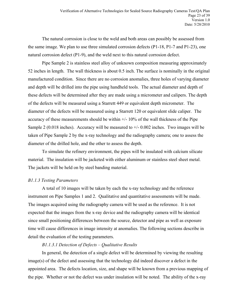The natural corrosion is close to the weld and both areas can possibly be assessed from the same image. We plan to use three simulated corrosion defects (P1-18, P1-7 and P1-23), one natural corrosion defect (P1-9), and the weld next to this natural corrosion defect.

Pipe Sample 2 is stainless steel alloy of unknown composition measuring approximately 52 inches in length. The wall thickness is about 0.5 inch. The surface is nominally in the original manufactured condition. Since there are no corrosion anomalies, three holes of varying diameter and depth will be drilled into the pipe using handheld tools. The actual diameter and depth of these defects will be determined after they are made using a micrometer and calipers. The depth of the defects will be measured using a Starrett 449 or equivalent depth micrometer. The diameter of the defects will be measured using a Starrett 120 or equivalent slide caliper. The accuracy of these measurements should be within  $+/-10\%$  of the wall thickness of the Pipe Sample 2 (0.018 inches). Accuracy will be measured to  $+/- 0.002$  inches. Two images will be taken of Pipe Sample 2 by the x-ray technology and the radiography camera; one to assess the diameter of the drilled hole, and the other to assess the depth.

To simulate the refinery environment, the pipes will be insulated with calcium silicate material. The insulation will be jacketed with either aluminum or stainless steel sheet metal. The jackets will be held on by steel banding material.

#### *B1.1.3 Testing Parameters*

A total of 10 images will be taken by each the x-ray technology and the reference instrument on Pipe Samples 1 and 2. Qualitative and quantitative assessments will be made. The images acquired using the radiography camera will be used as the reference. It is not expected that the images from the x-ray device and the radiography camera will be identical since small positioning differences between the source, detector and pipe as well as exposure time will cause differences in image intensity at anomalies. The following sections describe in detail the evaluation of the testing parameters.

#### *B1.1.3.1 Detection of Defects – Qualitative Results*

In general, the detection of a single defect will be determined by viewing the resulting image(s) of the defect and assessing that the technology did indeed discover a defect in the appointed area. The defects location, size, and shape will be known from a previous mapping of the pipe. Whether or not the defect was under insulation will be noted. The ability of the x-ray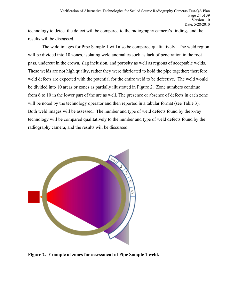technology to detect the defect will be compared to the radiography camera's findings and the results will be discussed.

The weld images for Pipe Sample 1 will also be compared qualitatively. The weld region will be divided into 10 zones, isolating weld anomalies such as lack of penetration in the root pass, undercut in the crown, slag inclusion, and porosity as well as regions of acceptable welds. These welds are not high quality, rather they were fabricated to hold the pipe together; therefore weld defects are expected with the potential for the entire weld to be defective. The weld would be divided into 10 areas or zones as partially illustrated in Figure 2. Zone numbers continue from 6 to 10 in the lower part of the arc as well. The presence or absence of defects in each zone will be noted by the technology operator and then reported in a tabular format (see Table 3). Both weld images will be assessed. The number and type of weld defects found by the x-ray technology will be compared qualitatively to the number and type of weld defects found by the radiography camera, and the results will be discussed.



<span id="page-23-0"></span>**Figure 2. Example of zones for assessment of Pipe Sample 1 weld.**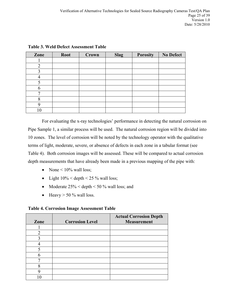| Zone           | <b>Root</b> | Crown | <b>Slag</b> | <b>Porosity</b> | <b>No Defect</b> |
|----------------|-------------|-------|-------------|-----------------|------------------|
|                |             |       |             |                 |                  |
| $\overline{2}$ |             |       |             |                 |                  |
| 3              |             |       |             |                 |                  |
|                |             |       |             |                 |                  |
| 5              |             |       |             |                 |                  |
| 6              |             |       |             |                 |                  |
| ┑              |             |       |             |                 |                  |
| 8              |             |       |             |                 |                  |
| q              |             |       |             |                 |                  |
| 10             |             |       |             |                 |                  |

<span id="page-24-0"></span>**Table 3. Weld Defect Assessment Table**

For evaluating the x-ray technologies' performance in detecting the natural corrosion on Pipe Sample 1, a similar process will be used. The natural corrosion region will be divided into 10 zones. The level of corrosion will be noted by the technology operator with the qualitative terms of light, moderate, severe, or absence of defects in each zone in a tabular format (see Table 4). Both corrosion images will be assessed. These will be compared to actual corrosion depth measurements that have already been made in a previous mapping of the pipe with:

- None  $\leq 10\%$  wall loss;
- Light  $10\%$  < depth < 25 % wall loss;
- Moderate  $25\%$  < depth < 50 % wall loss; and
- Heavy  $> 50 \%$  wall loss.

<span id="page-24-1"></span>**Table 4. Corrosion Image Assessment Table**

| Zone           | <b>Corrosion Level</b> | <b>Actual Corrosion Depth</b><br><b>Measurement</b> |
|----------------|------------------------|-----------------------------------------------------|
|                |                        |                                                     |
|                |                        |                                                     |
| $\mathfrak{D}$ |                        |                                                     |
| າ              |                        |                                                     |
|                |                        |                                                     |
|                |                        |                                                     |
|                |                        |                                                     |
|                |                        |                                                     |
| 8              |                        |                                                     |
| ∩              |                        |                                                     |
|                |                        |                                                     |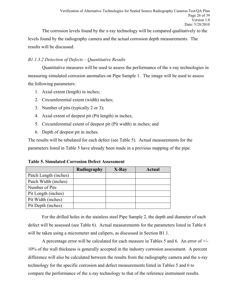The corrosion levels found by the x-ray technology will be compared qualitatively to the levels found by the radiography camera and the actual corrosion depth measurements. The results will be discussed.

# *B1.1.3.2 Detection of Defects – Quantitative Results*

Quantitative measures will be used to assess the performance of the x-ray technologies in measuring simulated corrosion anomalies on Pipe Sample 1. The image will be used to assess the following parameters:

- 1. Axial extent (length) in inches;
- 2. Circumferential extent (width) inches;
- 3. Number of pits (typically 2 or 3);
- 4. Axial extent of deepest pit (Pit length) in inches;
- 5. Circumferential extent of deepest pit (Pit width) in inches; and
- 6. Depth of deepest pit in inches.

The results will be tabulated for each defect (see Table 5). Actual measurements for the parameters listed in Table 5 have already been made in a previous mapping of the pipe.

<span id="page-25-0"></span>**Table 5. Simulated Corrosion Defect Assessment**

|                       | Radiography | X-Ray | Actual |
|-----------------------|-------------|-------|--------|
| Patch Length (inches) |             |       |        |
| Patch Width (inches)  |             |       |        |
| Number of Pits        |             |       |        |
| Pit Length (inches)   |             |       |        |
| Pit Width (inches)    |             |       |        |
| Pit Depth (inches)    |             |       |        |

For the drilled holes in the stainless steel Pipe Sample 2, the depth and diameter of each defect will be assessed (see Table 6). Actual measurements for the parameters listed in Table 6 will be taken using a micrometer and calipers, as discussed in Section B1.1.

A percentage error will be calculated for each measure in Tables 5 and 6. An error of +/- 10% of the wall thickness is generally accepted in the industry corrosion assessment. A percent difference will also be calculated between the results from the radiography camera and the x-ray technology for the specific corrosion and defect measurements listed in Tables 5 and 6 to compare the performance of the x-ray technology to that of the reference instrument results.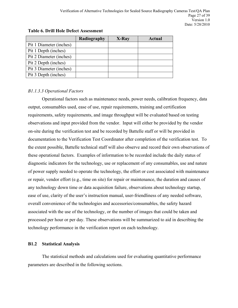|                         | Radiography | X-Ray | Actual |
|-------------------------|-------------|-------|--------|
| Pit 1 Diameter (inches) |             |       |        |
| Pit 1 Depth (inches)    |             |       |        |
| Pit 2 Diameter (inches) |             |       |        |
| Pit 2 Depth (inches)    |             |       |        |
| Pit 3 Diameter (inches) |             |       |        |
| Pit 3 Depth (inches)    |             |       |        |

#### <span id="page-26-0"></span>**Table 6. Drill Hole Defect Assessment**

# *B1.1.3.3 Operational Factors*

Operational factors such as maintenance needs, power needs, calibration frequency, data output, consumables used, ease of use, repair requirements, training and certification requirements, safety requirements, and image throughput will be evaluated based on testing observations and input provided from the vendor. Input will either be provided by the vendor on-site during the verification test and be recorded by Battelle staff or will be provided in documentation to the Verification Test Coordinator after completion of the verification test. To the extent possible, Battelle technical staff will also observe and record their own observations of these operational factors. Examples of information to be recorded include the daily status of diagnostic indicators for the technology, use or replacement of any consumables, use and nature of power supply needed to operate the technology, the effort or cost associated with maintenance or repair, vendor effort (e.g., time on site) for repair or maintenance, the duration and causes of any technology down time or data acquisition failure, observations about technology startup, ease of use, clarity of the user's instruction manual, user-friendliness of any needed software, overall convenience of the technologies and accessories/consumables, the safety hazard associated with the use of the technology, or the number of images that could be taken and processed per hour or per day. These observations will be summarized to aid in describing the technology performance in the verification report on each technology.

#### **B1.2 Statistical Analysis**

The statistical methods and calculations used for evaluating quantitative performance parameters are described in the following sections.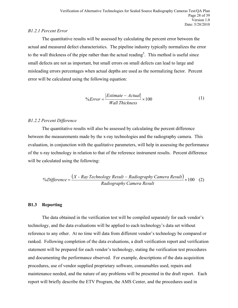#### *B1.2.1 Percent Error*

The quantitative results will be assessed by calculating the percent error between the actual and measured defect characteristics. The pipeline industry typically normalizes the error to the wall thickness of the pipe rather than the actual reading<sup>5</sup>. This method is useful since small defects are not as important, but small errors on small defects can lead to large and misleading errors percentages when actual depths are used as the normalizing factor. Percent error will be calculated using the following equation:

$$
\% Error = \frac{|Estimate - Actual|}{Wall Thickness} \times 100
$$
 (1)

#### *B1.2.2 Percent Difference*

The quantitative results will also be assessed by calculating the percent difference between the measurements made by the x-ray technologies and the radiography camera. This evaluation, in conjunction with the qualitative parameters, will help in assessing the performance of the x-ray technology in relation to that of the reference instrument results. Percent difference will be calculated using the following:

$$
\% Difference = \frac{(X - Ray Technology Result - Radiography Camera Result)}{Radiography Camera Result} \times 100 \quad (2)
$$

#### **B1.3 Reporting**

The data obtained in the verification test will be compiled separately for each vendor's technology, and the data evaluations will be applied to each technology's data set without reference to any other. At no time will data from different vendor's technology be compared or ranked. Following completion of the data evaluations, a draft verification report and verification statement will be prepared for each vendor's technology, stating the verification test procedures and documenting the performance observed. For example, descriptions of the data acquisition procedures, use of vendor supplied proprietary software, consumables used, repairs and maintenance needed, and the nature of any problems will be presented in the draft report. Each report will briefly describe the ETV Program, the AMS Center, and the procedures used in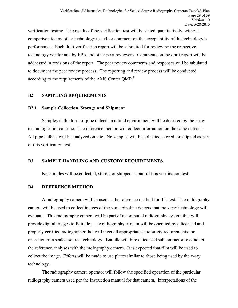verification testing. The results of the verification test will be stated quantitatively, without comparison to any other technology tested, or comment on the acceptability of the technology's performance. Each draft verification report will be submitted for review by the respective technology vendor and by EPA and other peer reviewers. Comments on the draft report will be addressed in revisions of the report. The peer review comments and responses will be tabulated to document the peer review process. The reporting and review process will be conducted according to the requirements of the AMS Center QMP.<sup>1</sup>

# <span id="page-28-0"></span>**B2 SAMPLING REQUIREMENTS**

#### **B2.1 Sample Collection, Storage and Shipment**

Samples in the form of pipe defects in a field environment will be detected by the x-ray technologies in real time. The reference method will collect information on the same defects. All pipe defects will be analyzed on-site. No samples will be collected, stored, or shipped as part of this verification test.

# <span id="page-28-1"></span>**B3 SAMPLE HANDLING AND CUSTODY REQUIREMENTS**

No samples will be collected, stored, or shipped as part of this verification test.

#### <span id="page-28-2"></span>**B4 REFERENCE METHOD**

A radiography camera will be used as the reference method for this test. The radiography camera will be used to collect images of the same pipeline defects that the x-ray technology will evaluate. This radiography camera will be part of a computed radiography system that will provide digital images to Battelle. The radiography camera will be operated by a licensed and properly certified radiographer that will meet all appropriate state safety requirements for operation of a sealed-source technology. Battelle will hire a licensed subcontractor to conduct the reference analyses with the radiography camera. It is expected that film will be used to collect the image. Efforts will be made to use plates similar to those being used by the x-ray technology.

The radiography camera operator will follow the specified operation of the particular radiography camera used per the instruction manual for that camera. Interpretations of the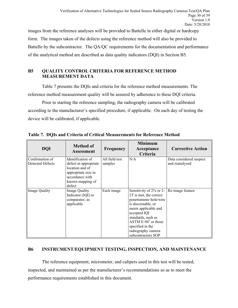images from the reference analyses will be provided to Battelle in either digital or hardcopy form. The images taken of the defects using the reference method will also be provided to Battelle by the subcontractor. The QA/QC requirements for the documentation and performance of the analytical method are described as data quality indicators (DQI) in Section B5.

# <span id="page-29-0"></span>**B5 QUALITY CONTROL CRITERIA FOR REFERENCE METHOD MEASUREMENT DATA**

Table 7 presents the DQIs and criteria for the reference method measurements. The reference method measurement quality will be assured by adherence to these DQI criteria.

Prior to starting the reference sampling, the radiography camera will be calibrated according to the manufacturer's specified procedure, if applicable. On each day of testing the device will be calibrated, if applicable.

| <b>DQI</b>                                 | <b>Method of</b><br><b>Assessment</b>                                                                                                 | Frequency                 | <b>Minimum</b><br>Acceptance<br>Criteria                                                                                                                                                                                                                  | <b>Corrective Action</b>                  |
|--------------------------------------------|---------------------------------------------------------------------------------------------------------------------------------------|---------------------------|-----------------------------------------------------------------------------------------------------------------------------------------------------------------------------------------------------------------------------------------------------------|-------------------------------------------|
| Confirmation of<br><b>Detected Defects</b> | Identification of<br>defect in appropriate<br>location and of<br>appropriate size in<br>accordance with<br>known mapping of<br>defect | All field test<br>samples | N/A                                                                                                                                                                                                                                                       | Data considered suspect<br>and reanalyzed |
| <b>Image Quality</b>                       | <b>Image Quality</b><br>Indicator (IQI) or<br>comparator, as<br>applicable                                                            | Each image                | Sensitivity of 2% or 2-<br>2T is met, the correct<br>penetrameter hole/wire<br>is discernable, or<br>meets applicable and<br>accepted IQI<br>standards, such as<br>ASTM $E-94^3$ or those<br>specified in the<br>radiography camera<br>subcontractors SOP | Re-image feature                          |

<span id="page-29-2"></span>**Table 7. DQIs and Criteria of Critical Measurements for Reference Method**

# <span id="page-29-1"></span>**B6 INSTRUMENT/EQUIPMENT TESTING, INSPECTION, AND MAINTENANCE**

The reference equipment, micrometer, and calipers used in this test will be tested, inspected, and maintained as per the manufacturer's recommendations so as to meet the performance requirements established in this document.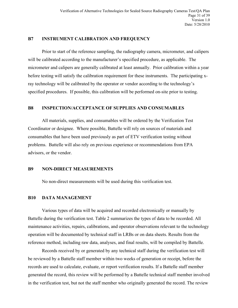#### <span id="page-30-0"></span>**B7 INSTRUMENT CALIBRATION AND FREQUENCY**

Prior to start of the reference sampling, the radiography camera, micrometer, and calipers will be calibrated according to the manufacturer's specified procedure, as applicable. The micrometer and calipers are generally calibrated at least annually. Prior calibration within a year before testing will satisfy the calibration requirement for these instruments. The participating xray technology will be calibrated by the operator or vendor according to the technology's specified procedures. If possible, this calibration will be performed on-site prior to testing.

#### <span id="page-30-1"></span>**B8 INSPECTION/ACCEPTANCE OF SUPPLIES AND CONSUMABLES**

All materials, supplies, and consumables will be ordered by the Verification Test Coordinator or designee. Where possible, Battelle will rely on sources of materials and consumables that have been used previously as part of ETV verification testing without problems. Battelle will also rely on previous experience or recommendations from EPA advisors, or the vendor.

#### <span id="page-30-2"></span>**B9 NON-DIRECT MEASUREMENTS**

No non-direct measurements will be used during this verification test.

#### <span id="page-30-3"></span>**B10 DATA MANAGEMENT**

Various types of data will be acquired and recorded electronically or manually by Battelle during the verification test. Table 2 summarizes the types of data to be recorded. All maintenance activities, repairs, calibrations, and operator observations relevant to the technology operation will be documented by technical staff in LRBs or on data sheets. Results from the reference method, including raw data, analyses, and final results, will be compiled by Battelle.

Records received by or generated by any technical staff during the verification test will be reviewed by a Battelle staff member within two weeks of generation or receipt, before the records are used to calculate, evaluate, or report verification results. If a Battelle staff member generated the record, this review will be performed by a Battelle technical staff member involved in the verification test, but not the staff member who originally generated the record. The review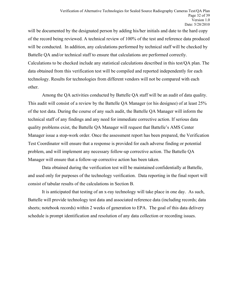will be documented by the designated person by adding his/her initials and date to the hard copy of the record being reviewed. A technical review of 100% of the test and reference data produced will be conducted. In addition, any calculations performed by technical staff will be checked by Battelle QA and/or technical staff to ensure that calculations are performed correctly. Calculations to be checked include any statistical calculations described in this test/QA plan. The data obtained from this verification test will be compiled and reported independently for each technology. Results for technologies from different vendors will not be compared with each other.

Among the QA activities conducted by Battelle QA staff will be an audit of data quality. This audit will consist of a review by the Battelle QA Manager (or his designee) of at least 25% of the test data. During the course of any such audit, the Battelle QA Manager will inform the technical staff of any findings and any need for immediate corrective action. If serious data quality problems exist, the Battelle QA Manager will request that Battelle's AMS Center Manager issue a stop-work order. Once the assessment report has been prepared, the Verification Test Coordinator will ensure that a response is provided for each adverse finding or potential problem, and will implement any necessary follow-up corrective action. The Battelle QA Manager will ensure that a follow-up corrective action has been taken.

Data obtained during the verification test will be maintained confidentially at Battelle, and used only for purposes of the technology verification. Data reporting in the final report will consist of tabular results of the calculations in Section B.

It is anticipated that testing of an x-ray technology will take place in one day. As such, Battelle will provide technology test data and associated reference data (including records; data sheets; notebook records) within 2 weeks of generation to EPA. The goal of this data delivery schedule is prompt identification and resolution of any data collection or recording issues.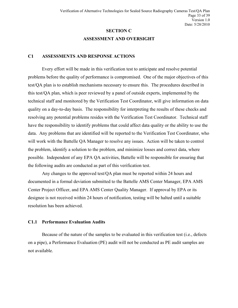# **SECTION C ASSESSMENT AND OVERSIGHT**

#### <span id="page-32-1"></span><span id="page-32-0"></span>**C1 ASSESSMENTS AND RESPONSE ACTIONS**

Every effort will be made in this verification test to anticipate and resolve potential problems before the quality of performance is compromised. One of the major objectives of this test/QA plan is to establish mechanisms necessary to ensure this. The procedures described in this test/QA plan, which is peer reviewed by a panel of outside experts, implemented by the technical staff and monitored by the Verification Test Coordinator, will give information on data quality on a day-to-day basis. The responsibility for interpreting the results of these checks and resolving any potential problems resides with the Verification Test Coordinator. Technical staff have the responsibility to identify problems that could affect data quality or the ability to use the data. Any problems that are identified will be reported to the Verification Test Coordinator, who will work with the Battelle QA Manager to resolve any issues. Action will be taken to control the problem, identify a solution to the problem, and minimize losses and correct data, where possible. Independent of any EPA QA activities, Battelle will be responsible for ensuring that the following audits are conducted as part of this verification test.

Any changes to the approved test/QA plan must be reported within 24 hours and documented in a formal deviation submitted to the Battelle AMS Center Manager, EPA AMS Center Project Officer, and EPA AMS Center Quality Manager. If approval by EPA or its designee is not received within 24 hours of notification, testing will be halted until a suitable resolution has been achieved.

#### **C1.1 Performance Evaluation Audits**

Because of the nature of the samples to be evaluated in this verification test (i.e., defects on a pipe), a Performance Evaluation (PE) audit will not be conducted as PE audit samples are not available.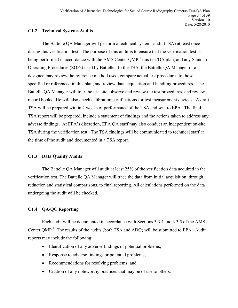# **C1.2 Technical Systems Audits**

The Battelle QA Manager will perform a technical systems audit (TSA) at least once during this verification test. The purpose of this audit is to ensure that the verification test is being performed in accordance with the AMS Center QMP,<sup>1</sup> this test/QA plan, and any Standard Operating Procedures (SOPs) used by Battelle. In the TSA, the Battelle QA Manager or a designee may review the reference method used, compare actual test procedures to those specified or referenced in this plan, and review data acquisition and handling procedures. The Battelle QA Manager will tour the test site, observe and review the test procedures, and review record books. He will also check calibration certifications for test measurement devices. A draft TSA will be prepared within 2 weeks of performance of the TSA and sent to EPA. The final TSA report will be prepared, include a statement of findings and the actions taken to address any adverse findings. At EPA's discretion, EPA QA staff may also conduct an independent on-site TSA during the verification test. The TSA findings will be communicated to technical staff at the time of the audit and documented in a TSA report.

# **C1.3 Data Quality Audits**

The Battelle QA Manager will audit at least 25% of the verification data acquired in the verification test. The Battelle QA Manager will trace the data from initial acquisition, through reduction and statistical comparisons, to final reporting. All calculations performed on the data undergoing the audit will be checked.

# **C1.4 QA/QC Reporting**

Each audit will be documented in accordance with Sections 3.3.4 and 3.3.5 of the AMS Center  $QMP$ <sup>1</sup>. The results of the audits (both TSA and ADQ) will be submitted to EPA. Audit reports may include the following:

- Identification of any adverse findings or potential problems;
- Response to adverse findings or potential problems;
- Recommendations for resolving problems; and
- Citation of any noteworthy practices that may be of use to others.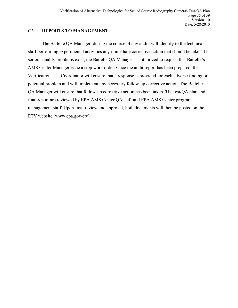# <span id="page-34-0"></span>**C2 REPORTS TO MANAGEMENT**

The Battelle QA Manager, during the course of any audit, will identify to the technical staff performing experimental activities any immediate corrective action that should be taken. If serious quality problems exist, the Battelle QA Manager is authorized to request that Battelle's AMS Center Manager issue a stop work order. Once the audit report has been prepared, the Verification Test Coordinator will ensure that a response is provided for each adverse finding or potential problem and will implement any necessary follow-up corrective action. The Battelle QA Manager will ensure that follow-up corrective action has been taken. The test/QA plan and final report are reviewed by EPA AMS Center QA staff and EPA AMS Center program management staff. Upon final review and approval, both documents will then be posted on the ETV website (www.epa.gov/etv).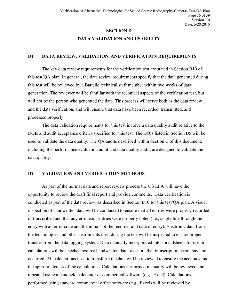# **SECTION D**

# **DATA VALIDATION AND USABILITY**

#### <span id="page-35-1"></span><span id="page-35-0"></span>**D1 DATA REVIEW, VALIDATION, AND VERIFICATION REQUIREMENTS**

The key data review requirements for the verification test are stated in Section B10 of this test/QA plan. In general, the data review requirements specify that the data generated during this test will be reviewed by a Battelle technical staff member within two weeks of data generation. The reviewer will be familiar with the technical aspects of the verification test, but will not be the person who generated the data. This process will serve both as the data review and the data verification, and will ensure that data have been recorded, transmitted, and processed properly.

The data validation requirements for this test involve a data quality audit relative to the DQIs and audit acceptance criteria specified for this test. The DQIs listed in Section B5 will be used to validate the data quality. The QA audits described within Section C of this document, including the performance evaluation audit and data quality audit, are designed to validate the data quality.

# <span id="page-35-2"></span>**D2 VALIDATION AND VERIFICATION METHODS**

As part of the normal data and report review process the US EPA will have the opportunity to review the draft final report and provide comments. Data verification is conducted as part of the data review, as described in Section B10 for this test/QA plan. A visual inspection of handwritten data will be conducted to ensure that all entries were properly recorded or transcribed and that any erroneous entries were properly noted (i.e., single line through the entry with an error code and the initials of the recorder and date of entry). Electronic data from the technologies and other instruments used during the test will be inspected to ensure proper transfer from the data logging system. Data manually incorporated into spreadsheets for use in calculations will be checked against handwritten data to ensure that transcription errors have not occurred. All calculations used to transform the data will be reviewed to ensure the accuracy and the appropriateness of the calculations. Calculations performed manually will be reviewed and repeated using a handheld calculator or commercial software (e.g., Excel). Calculations performed using standard commercial office software (e.g., Excel) will be reviewed by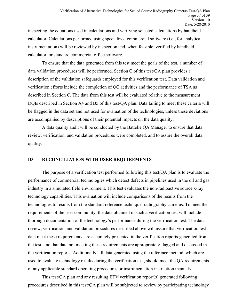inspecting the equations used in calculations and verifying selected calculations by handheld calculator. Calculations performed using specialized commercial software (i.e., for analytical instrumentation) will be reviewed by inspection and, when feasible, verified by handheld calculator, or standard commercial office software.

To ensure that the data generated from this test meet the goals of the test, a number of data validation procedures will be performed. Section C of this test/QA plan provides a description of the validation safeguards employed for this verification test. Data validation and verification efforts include the completion of QC activities and the performance of TSA as described in Section C. The data from this test will be evaluated relative to the measurement DQIs described in Section A4 and B5 of this test/QA plan. Data failing to meet these criteria will be flagged in the data set and not used for evaluation of the technologies, unless these deviations are accompanied by descriptions of their potential impacts on the data quality.

A data quality audit will be conducted by the Battelle QA Manager to ensure that data review, verification, and validation procedures were completed, and to assure the overall data quality.

#### <span id="page-36-0"></span>**D3 RECONCILIATION WITH USER REQUIREMENTS**

The purpose of a verification test performed following this test/QA plan is to evaluate the performance of commercial technologies which detect defects in pipelines used in the oil and gas industry in a simulated field environment. This test evaluates the non-radioactive source x-ray technology capabilities. This evaluation will include comparisons of the results from the technologies to results from the standard reference technique, radiography cameras. To meet the requirements of the user community, the data obtained in such a verification test will include thorough documentation of the technology's performance during the verification test. The data review, verification, and validation procedures described above will assure that verification test data meet these requirements, are accurately presented in the verification reports generated from the test, and that data not meeting these requirements are appropriately flagged and discussed in the verification reports. Additionally, all data generated using the reference method, which are used to evaluate technology results during the verification test, should meet the QA requirements of any applicable standard operating procedures or instrumentation instruction manuals.

This test/QA plan and any resulting ETV verification report(s) generated following procedures described in this test/QA plan will be subjected to review by participating technology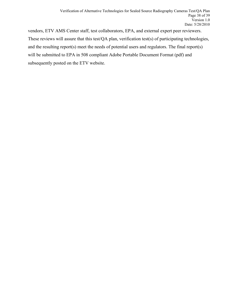vendors, ETV AMS Center staff, test collaborators, EPA, and external expert peer reviewers. These reviews will assure that this test/QA plan, verification test(s) of participating technologies, and the resulting report(s) meet the needs of potential users and regulators. The final report(s) will be submitted to EPA in 508 compliant Adobe Portable Document Format (pdf) and subsequently posted on the ETV website.